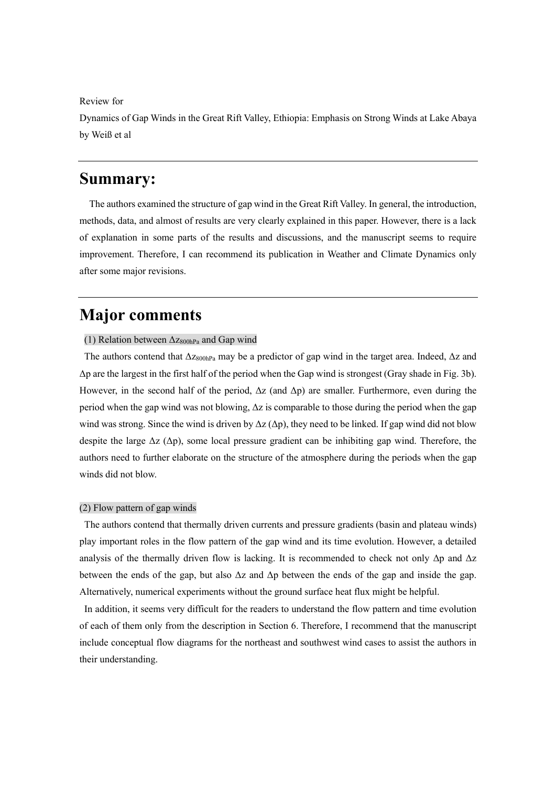#### Review for

Dynamics of Gap Winds in the Great Rift Valley, Ethiopia: Emphasis on Strong Winds at Lake Abaya by Weiß et al

# **Summary:**

The authors examined the structure of gap wind in the Great Rift Valley. In general, the introduction, methods, data, and almost of results are very clearly explained in this paper. However, there is a lack of explanation in some parts of the results and discussions, and the manuscript seems to require improvement. Therefore, I can recommend its publication in Weather and Climate Dynamics only after some major revisions.

# **Major comments**

#### (1) Relation between  $\Delta z_{800hPa}$  and Gap wind

The authors contend that  $\Delta z_{800hPa}$  may be a predictor of gap wind in the target area. Indeed,  $\Delta z$  and Δp are the largest in the first half of the period when the Gap wind is strongest (Gray shade in Fig. 3b). However, in the second half of the period,  $\Delta z$  (and  $\Delta p$ ) are smaller. Furthermore, even during the period when the gap wind was not blowing,  $\Delta z$  is comparable to those during the period when the gap wind was strong. Since the wind is driven by  $\Delta z$  ( $\Delta p$ ), they need to be linked. If gap wind did not blow despite the large  $\Delta z$  ( $\Delta p$ ), some local pressure gradient can be inhibiting gap wind. Therefore, the authors need to further elaborate on the structure of the atmosphere during the periods when the gap winds did not blow.

#### (2) Flow pattern of gap winds

The authors contend that thermally driven currents and pressure gradients (basin and plateau winds) play important roles in the flow pattern of the gap wind and its time evolution. However, a detailed analysis of the thermally driven flow is lacking. It is recommended to check not only  $\Delta p$  and  $\Delta z$ between the ends of the gap, but also  $\Delta z$  and  $\Delta p$  between the ends of the gap and inside the gap. Alternatively, numerical experiments without the ground surface heat flux might be helpful.

In addition, it seems very difficult for the readers to understand the flow pattern and time evolution of each of them only from the description in Section 6. Therefore, I recommend that the manuscript include conceptual flow diagrams for the northeast and southwest wind cases to assist the authors in their understanding.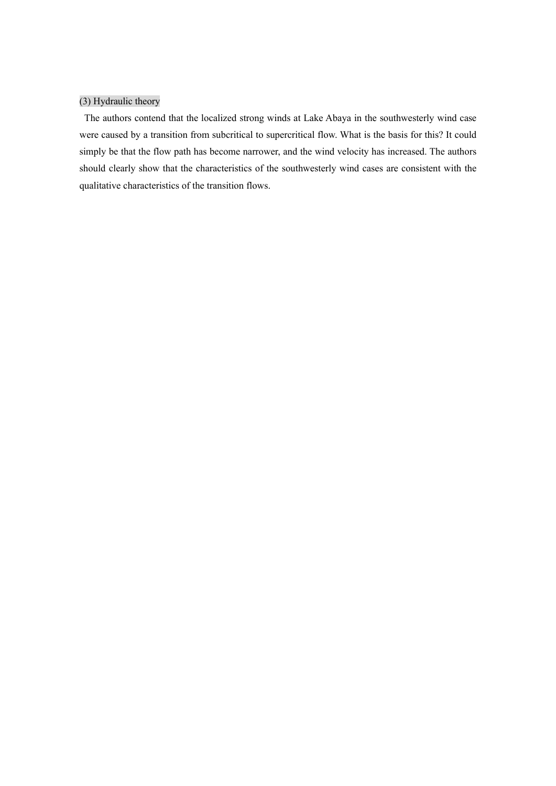# (3) Hydraulic theory

The authors contend that the localized strong winds at Lake Abaya in the southwesterly wind case were caused by a transition from subcritical to supercritical flow. What is the basis for this? It could simply be that the flow path has become narrower, and the wind velocity has increased. The authors should clearly show that the characteristics of the southwesterly wind cases are consistent with the qualitative characteristics of the transition flows.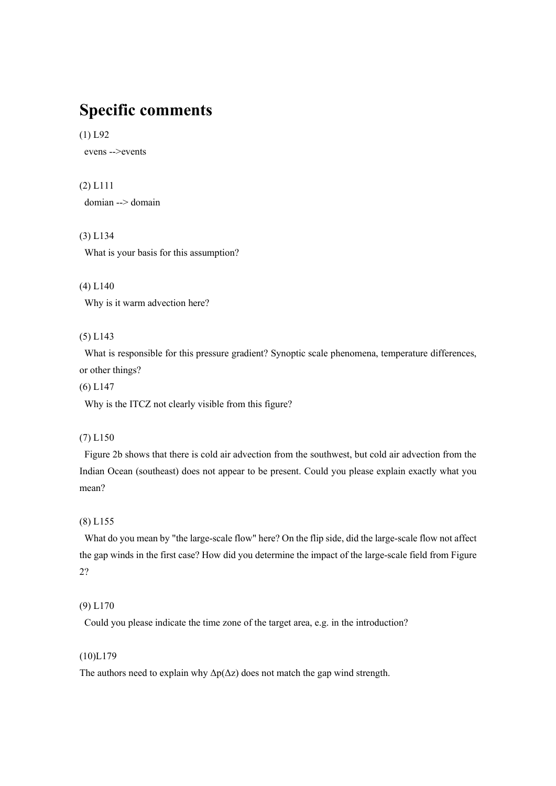# **Specific comments**

# (1) L92

evens -->events

# (2) L111

domian --> domain

# (3) L134

What is your basis for this assumption?

### (4) L140

Why is it warm advection here?

# (5) L143

What is responsible for this pressure gradient? Synoptic scale phenomena, temperature differences, or other things?

(6) L147

Why is the ITCZ not clearly visible from this figure?

# (7) L150

Figure 2b shows that there is cold air advection from the southwest, but cold air advection from the Indian Ocean (southeast) does not appear to be present. Could you please explain exactly what you mean?

# (8) L155

What do you mean by "the large-scale flow" here? On the flip side, did the large-scale flow not affect the gap winds in the first case? How did you determine the impact of the large-scale field from Figure 2?

#### (9) L170

Could you please indicate the time zone of the target area, e.g. in the introduction?

# (10)L179

The authors need to explain why  $\Delta p(\Delta z)$  does not match the gap wind strength.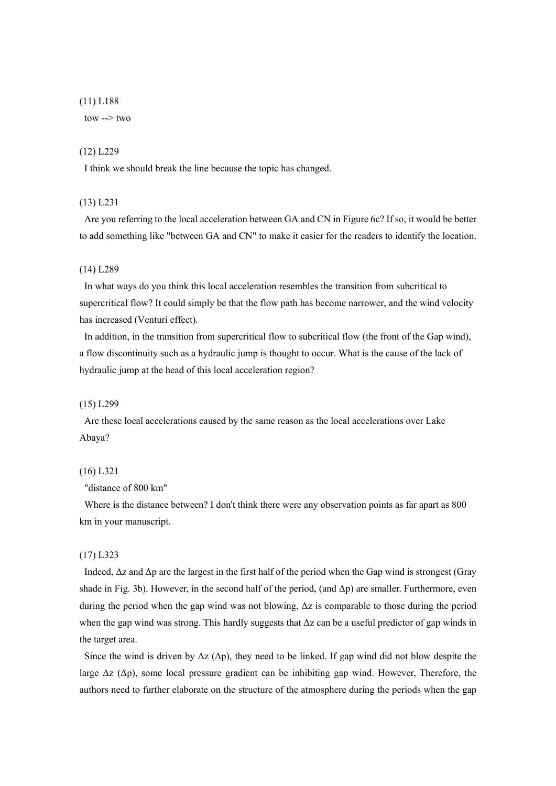#### (11) L188

tow  $\rightarrow$  two

#### (12) L229

I think we should break the line because the topic has changed.

# (13) L231

Are you referring to the local acceleration between GA and CN in Figure 6c? If so, it would be better to add something like "between GA and CN" to make it easier for the readers to identify the location.

#### (14) L289

In what ways do you think this local acceleration resembles the transition from subcritical to supercritical flow? It could simply be that the flow path has become narrower, and the wind velocity has increased (Venturi effect).

In addition, in the transition from supercritical flow to subcritical flow (the front of the Gap wind), a flow discontinuity such as a hydraulic jump is thought to occur. What is the cause of the lack of hydraulic jump at the head of this local acceleration region?

#### (15) L299

Are these local accelerations caused by the same reason as the local accelerations over Lake Abaya?

#### (16) L321

"distance of 800 km"

Where is the distance between? I don't think there were any observation points as far apart as 800 km in your manuscript.

#### (17) L323

Indeed,  $\Delta z$  and  $\Delta p$  are the largest in the first half of the period when the Gap wind is strongest (Gray shade in Fig. 3b). However, in the second half of the period, (and  $\Delta p$ ) are smaller. Furthermore, even during the period when the gap wind was not blowing, Δz is comparable to those during the period when the gap wind was strong. This hardly suggests that  $\Delta z$  can be a useful predictor of gap winds in the target area.

Since the wind is driven by  $\Delta z$  ( $\Delta p$ ), they need to be linked. If gap wind did not blow despite the large  $\Delta z$  ( $\Delta p$ ), some local pressure gradient can be inhibiting gap wind. However, Therefore, the authors need to further elaborate on the structure of the atmosphere during the periods when the gap